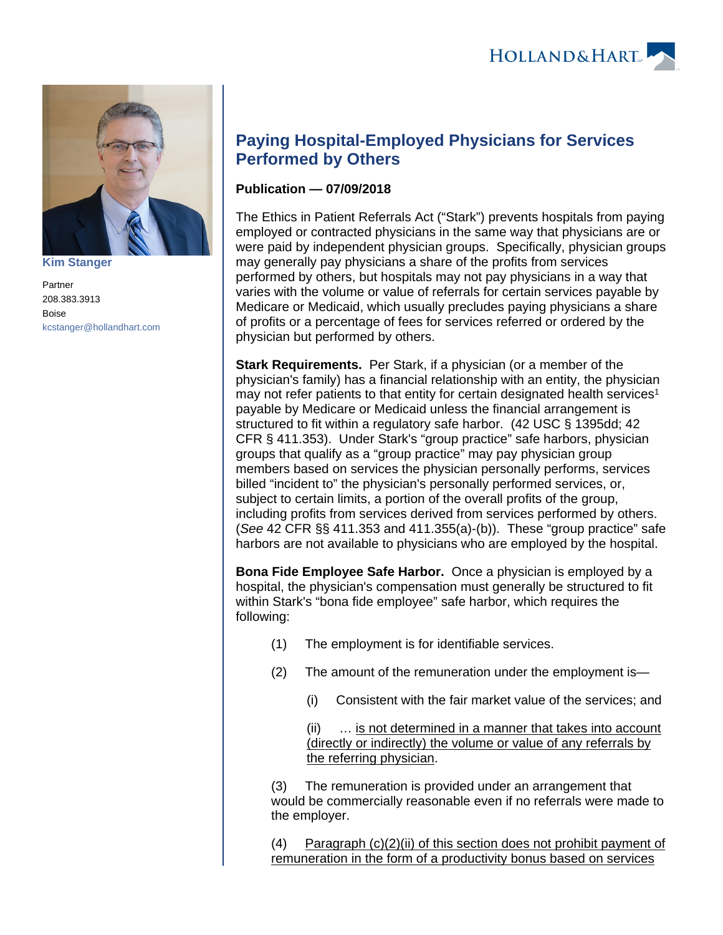

**[Kim Stanger](https://www.hollandhart.com/15954)**

Partner 208.383.3913 Boise [kcstanger@hollandhart.com](mailto:kcstanger@hollandhart.com)

## **Paying Hospital-Employed Physicians for Services Performed by Others**

## **Publication — 07/09/2018**

The Ethics in Patient Referrals Act ("Stark") prevents hospitals from paying employed or contracted physicians in the same way that physicians are or were paid by independent physician groups. Specifically, physician groups may generally pay physicians a share of the profits from services performed by others, but hospitals may not pay physicians in a way that varies with the volume or value of referrals for certain services payable by Medicare or Medicaid, which usually precludes paying physicians a share of profits or a percentage of fees for services referred or ordered by the physician but performed by others.

**Stark Requirements.** Per Stark, if a physician (or a member of the physician's family) has a financial relationship with an entity, the physician may not refer patients to that entity for certain designated health services<sup>1</sup> payable by Medicare or Medicaid unless the financial arrangement is structured to fit within a regulatory safe harbor. (42 USC § 1395dd; 42 CFR § 411.353). Under Stark's "group practice" safe harbors, physician groups that qualify as a "group practice" may pay physician group members based on services the physician personally performs, services billed "incident to" the physician's personally performed services, or, subject to certain limits, a portion of the overall profits of the group, including profits from services derived from services performed by others. (See 42 CFR §§ 411.353 and 411.355(a)-(b)). These "group practice" safe harbors are not available to physicians who are employed by the hospital.

**Bona Fide Employee Safe Harbor.** Once a physician is employed by a hospital, the physician's compensation must generally be structured to fit within Stark's "bona fide employee" safe harbor, which requires the following:

- (1) The employment is for identifiable services.
- (2) The amount of the remuneration under the employment is—
	- (i) Consistent with the fair market value of the services; and

(ii) … is not determined in a manner that takes into account (directly or indirectly) the volume or value of any referrals by the referring physician.

(3) The remuneration is provided under an arrangement that would be commercially reasonable even if no referrals were made to the employer.

(4) Paragraph (c)(2)(ii) of this section does not prohibit payment of remuneration in the form of a productivity bonus based on services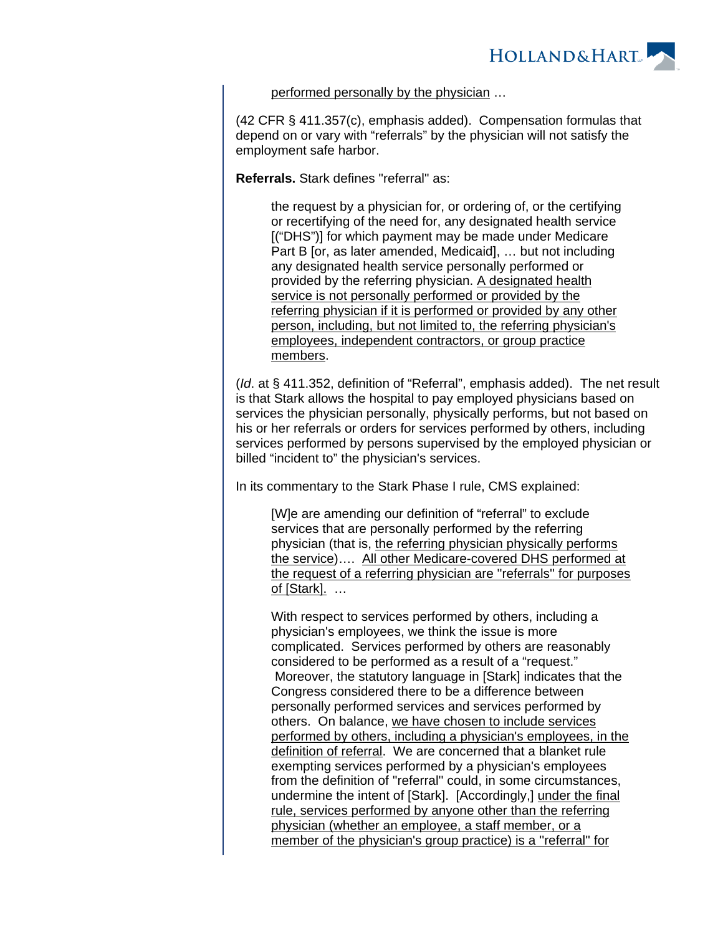

## performed personally by the physician …

(42 CFR § 411.357(c), emphasis added). Compensation formulas that depend on or vary with "referrals" by the physician will not satisfy the employment safe harbor.

**Referrals.** Stark defines "referral" as:

the request by a physician for, or ordering of, or the certifying or recertifying of the need for, any designated health service [("DHS")] for which payment may be made under Medicare Part B [or, as later amended, Medicaid], … but not including any designated health service personally performed or provided by the referring physician. A designated health service is not personally performed or provided by the referring physician if it is performed or provided by any other person, including, but not limited to, the referring physician's employees, independent contractors, or group practice members.

(Id. at § 411.352, definition of "Referral", emphasis added). The net result is that Stark allows the hospital to pay employed physicians based on services the physician personally, physically performs, but not based on his or her referrals or orders for services performed by others, including services performed by persons supervised by the employed physician or billed "incident to" the physician's services.

In its commentary to the Stark Phase I rule, CMS explained:

[W]e are amending our definition of "referral" to exclude services that are personally performed by the referring physician (that is, the referring physician physically performs the service)…. All other Medicare-covered DHS performed at the request of a referring physician are ''referrals'' for purposes of [Stark]. …

With respect to services performed by others, including a physician's employees, we think the issue is more complicated. Services performed by others are reasonably considered to be performed as a result of a "request." Moreover, the statutory language in [Stark] indicates that the Congress considered there to be a difference between personally performed services and services performed by others. On balance, we have chosen to include services performed by others, including a physician's employees, in the definition of referral. We are concerned that a blanket rule exempting services performed by a physician's employees from the definition of ''referral'' could, in some circumstances, undermine the intent of [Stark]. [Accordingly,] under the final rule, services performed by anyone other than the referring physician (whether an employee, a staff member, or a member of the physician's group practice) is a ''referral'' for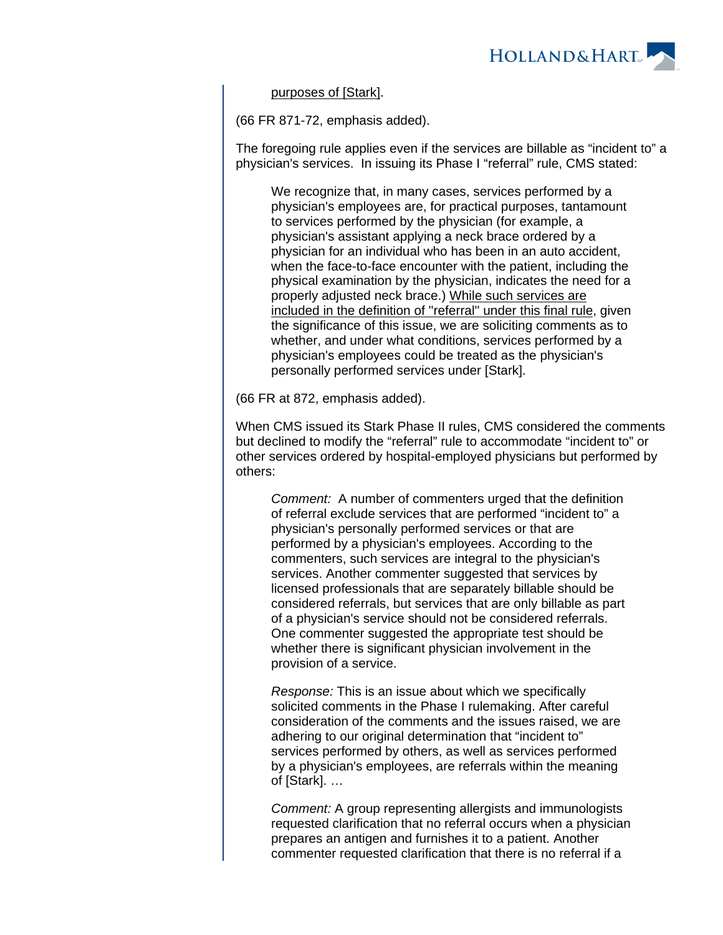

purposes of [Stark].

(66 FR 871-72, emphasis added).

The foregoing rule applies even if the services are billable as "incident to" a physician's services. In issuing its Phase I "referral" rule, CMS stated:

We recognize that, in many cases, services performed by a physician's employees are, for practical purposes, tantamount to services performed by the physician (for example, a physician's assistant applying a neck brace ordered by a physician for an individual who has been in an auto accident, when the face-to-face encounter with the patient, including the physical examination by the physician, indicates the need for a properly adjusted neck brace.) While such services are included in the definition of ''referral'' under this final rule, given the significance of this issue, we are soliciting comments as to whether, and under what conditions, services performed by a physician's employees could be treated as the physician's personally performed services under [Stark].

(66 FR at 872, emphasis added).

When CMS issued its Stark Phase II rules, CMS considered the comments but declined to modify the "referral" rule to accommodate "incident to" or other services ordered by hospital-employed physicians but performed by others:

Comment: A number of commenters urged that the definition of referral exclude services that are performed "incident to" a physician's personally performed services or that are performed by a physician's employees. According to the commenters, such services are integral to the physician's services. Another commenter suggested that services by licensed professionals that are separately billable should be considered referrals, but services that are only billable as part of a physician's service should not be considered referrals. One commenter suggested the appropriate test should be whether there is significant physician involvement in the provision of a service.

Response: This is an issue about which we specifically solicited comments in the Phase I rulemaking. After careful consideration of the comments and the issues raised, we are adhering to our original determination that "incident to" services performed by others, as well as services performed by a physician's employees, are referrals within the meaning of [Stark]. …

Comment: A group representing allergists and immunologists requested clarification that no referral occurs when a physician prepares an antigen and furnishes it to a patient. Another commenter requested clarification that there is no referral if a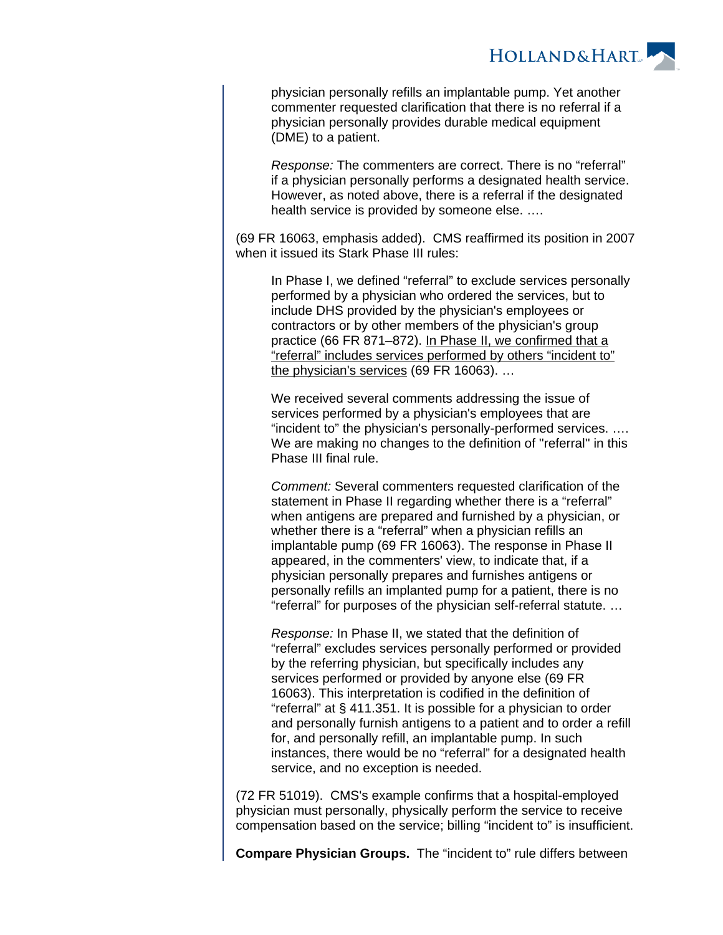

physician personally refills an implantable pump. Yet another commenter requested clarification that there is no referral if a physician personally provides durable medical equipment (DME) to a patient.

Response: The commenters are correct. There is no "referral" if a physician personally performs a designated health service. However, as noted above, there is a referral if the designated health service is provided by someone else. ….

(69 FR 16063, emphasis added). CMS reaffirmed its position in 2007 when it issued its Stark Phase III rules:

In Phase I, we defined "referral" to exclude services personally performed by a physician who ordered the services, but to include DHS provided by the physician's employees or contractors or by other members of the physician's group practice (66 FR 871–872). In Phase II, we confirmed that a "referral" includes services performed by others "incident to" the physician's services (69 FR 16063). ...

We received several comments addressing the issue of services performed by a physician's employees that are "incident to" the physician's personally-performed services. …. We are making no changes to the definition of ''referral'' in this Phase III final rule.

Comment: Several commenters requested clarification of the statement in Phase II regarding whether there is a "referral" when antigens are prepared and furnished by a physician, or whether there is a "referral" when a physician refills an implantable pump (69 FR 16063). The response in Phase II appeared, in the commenters' view, to indicate that, if a physician personally prepares and furnishes antigens or personally refills an implanted pump for a patient, there is no "referral" for purposes of the physician self-referral statute. …

Response: In Phase II, we stated that the definition of "referral" excludes services personally performed or provided by the referring physician, but specifically includes any services performed or provided by anyone else (69 FR 16063). This interpretation is codified in the definition of "referral" at § 411.351. It is possible for a physician to order and personally furnish antigens to a patient and to order a refill for, and personally refill, an implantable pump. In such instances, there would be no "referral" for a designated health service, and no exception is needed.

(72 FR 51019). CMS's example confirms that a hospital-employed physician must personally, physically perform the service to receive compensation based on the service; billing "incident to" is insufficient.

**Compare Physician Groups.** The "incident to" rule differs between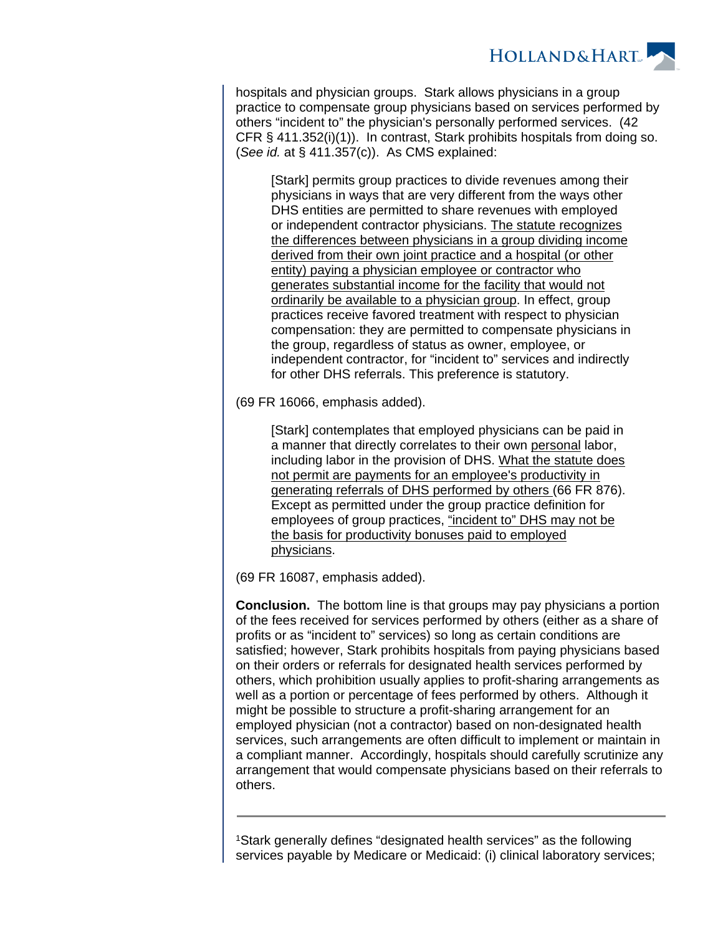

hospitals and physician groups. Stark allows physicians in a group practice to compensate group physicians based on services performed by others "incident to" the physician's personally performed services. (42 CFR § 411.352(i)(1)). In contrast, Stark prohibits hospitals from doing so. (See id. at § 411.357(c)). As CMS explained:

[Stark] permits group practices to divide revenues among their physicians in ways that are very different from the ways other DHS entities are permitted to share revenues with employed or independent contractor physicians. The statute recognizes the differences between physicians in a group dividing income derived from their own joint practice and a hospital (or other entity) paying a physician employee or contractor who generates substantial income for the facility that would not ordinarily be available to a physician group. In effect, group practices receive favored treatment with respect to physician compensation: they are permitted to compensate physicians in the group, regardless of status as owner, employee, or independent contractor, for "incident to" services and indirectly for other DHS referrals. This preference is statutory.

(69 FR 16066, emphasis added).

[Stark] contemplates that employed physicians can be paid in a manner that directly correlates to their own personal labor, including labor in the provision of DHS. What the statute does not permit are payments for an employee's productivity in generating referrals of DHS performed by others (66 FR 876). Except as permitted under the group practice definition for employees of group practices, "incident to" DHS may not be the basis for productivity bonuses paid to employed physicians.

(69 FR 16087, emphasis added).

**Conclusion.** The bottom line is that groups may pay physicians a portion of the fees received for services performed by others (either as a share of profits or as "incident to" services) so long as certain conditions are satisfied; however, Stark prohibits hospitals from paying physicians based on their orders or referrals for designated health services performed by others, which prohibition usually applies to profit-sharing arrangements as well as a portion or percentage of fees performed by others. Although it might be possible to structure a profit-sharing arrangement for an employed physician (not a contractor) based on non-designated health services, such arrangements are often difficult to implement or maintain in a compliant manner. Accordingly, hospitals should carefully scrutinize any arrangement that would compensate physicians based on their referrals to others.

<sup>1</sup>Stark generally defines "designated health services" as the following services payable by Medicare or Medicaid: (i) clinical laboratory services;